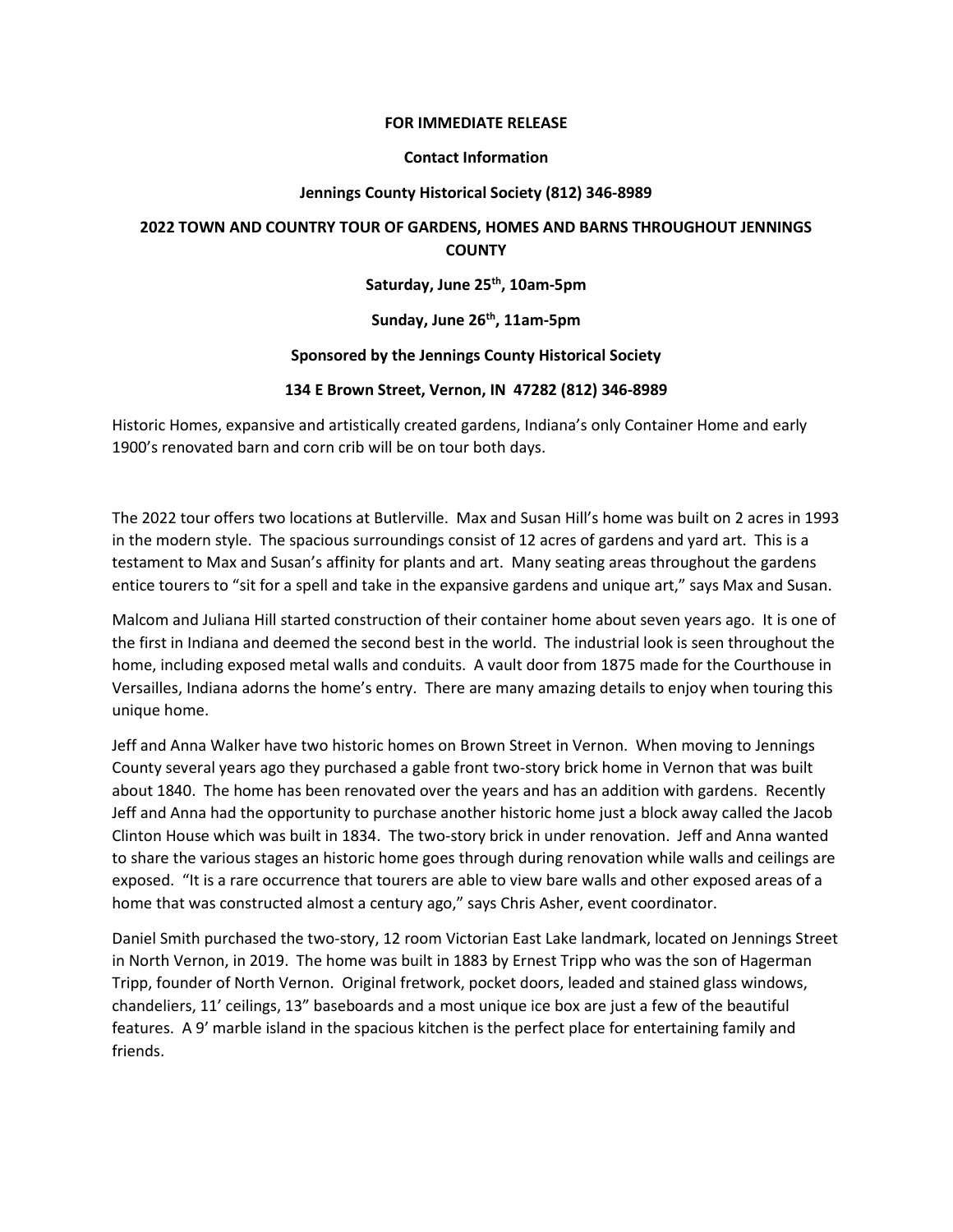#### **FOR IMMEDIATE RELEASE**

#### **Contact Information**

### **Jennings County Historical Society (812) 346-8989**

# **2022 TOWN AND COUNTRY TOUR OF GARDENS, HOMES AND BARNS THROUGHOUT JENNINGS COUNTY**

### **Saturday, June 25th, 10am-5pm**

## Sunday, June 26<sup>th</sup>, 11am-5pm

#### **Sponsored by the Jennings County Historical Society**

#### **134 E Brown Street, Vernon, IN 47282 (812) 346-8989**

Historic Homes, expansive and artistically created gardens, Indiana's only Container Home and early 1900's renovated barn and corn crib will be on tour both days.

The 2022 tour offers two locations at Butlerville. Max and Susan Hill's home was built on 2 acres in 1993 in the modern style. The spacious surroundings consist of 12 acres of gardens and yard art. This is a testament to Max and Susan's affinity for plants and art. Many seating areas throughout the gardens entice tourers to "sit for a spell and take in the expansive gardens and unique art," says Max and Susan.

Malcom and Juliana Hill started construction of their container home about seven years ago. It is one of the first in Indiana and deemed the second best in the world. The industrial look is seen throughout the home, including exposed metal walls and conduits. A vault door from 1875 made for the Courthouse in Versailles, Indiana adorns the home's entry. There are many amazing details to enjoy when touring this unique home.

Jeff and Anna Walker have two historic homes on Brown Street in Vernon. When moving to Jennings County several years ago they purchased a gable front two-story brick home in Vernon that was built about 1840. The home has been renovated over the years and has an addition with gardens. Recently Jeff and Anna had the opportunity to purchase another historic home just a block away called the Jacob Clinton House which was built in 1834. The two-story brick in under renovation. Jeff and Anna wanted to share the various stages an historic home goes through during renovation while walls and ceilings are exposed. "It is a rare occurrence that tourers are able to view bare walls and other exposed areas of a home that was constructed almost a century ago," says Chris Asher, event coordinator.

Daniel Smith purchased the two-story, 12 room Victorian East Lake landmark, located on Jennings Street in North Vernon, in 2019. The home was built in 1883 by Ernest Tripp who was the son of Hagerman Tripp, founder of North Vernon. Original fretwork, pocket doors, leaded and stained glass windows, chandeliers, 11' ceilings, 13" baseboards and a most unique ice box are just a few of the beautiful features. A 9' marble island in the spacious kitchen is the perfect place for entertaining family and friends.